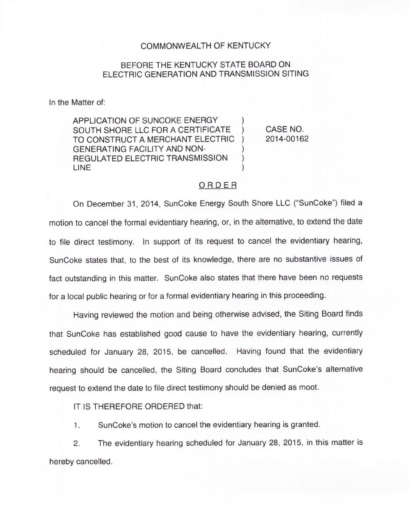## COMMONWEALTH OF KENTUCKY

## BEFORE THE KENTUCKY STATE BOARD ON ELECTRIC GENERATION AND TRANSMISSION SITING

In the Matter of:

APPLICATION OF SUNCOKE ENERGY SOUTH SHORE LLC FOR A CERTIFICATE TO CONSTRUCT A MERCHANT ELECTRIC GENERATING FACILITY AND NON-REGULATED ELECTRIC TRANSMISSION LINE

) CASE NO. 2014-00162

## ORDER

)

)

) ) )

On December 31, 2014, SunCoke Energy South Shore LLC ("SunCoke") filed a motion to cancel the formal evidentiary hearing, or, in the alternative, to extend the date to file direct testimony. In support of its request to cancel the evidentiary hearing, SunCoke states that, to the best of its knowledge, there are no substantive issues of fact outstanding in this matter. SunCoke also states that there have been no requests for a local public hearing or for a formal evidentiary hearing in this proceeding.

Having reviewed the motion and being otherwise advised, the Siting Board finds that SunCoke has established good cause to have the evidentiary hearing, currently scheduled for January 28, 2015, be cancelled. Having found that the evidentiary hearing should be cancelled, the Siting Board concludes that SunCoke's alternative request to extend the date to file direct testimony should be denied as moot.

IT IS THEREFORE ORDERED that:

SunCoke's motion to cancel the evidentiary hearing is granted.  $1.$ 

2. The evidentiary hearing scheduled for January 28, 2015, in this matter is hereby cancelled.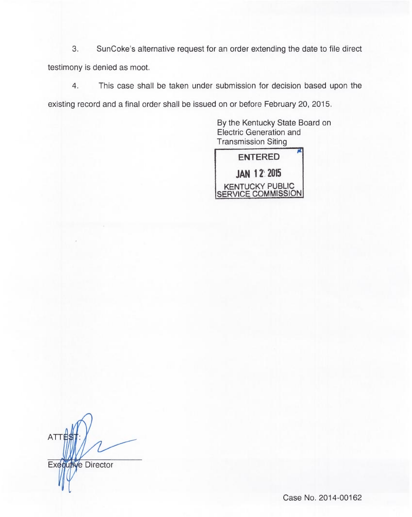3. SunCoke's alternative request for an order extending the date to file direct testimony is denied as moot.

This case shall be taken under submission for decision based upon the  $4.$ existing record and a final order shall be issued on or before February 20, 2015.

> By the Kentucky State Board on Electric Generation and Transmission Siting



**ATTE** Executive Director

Case No. 2014-00162